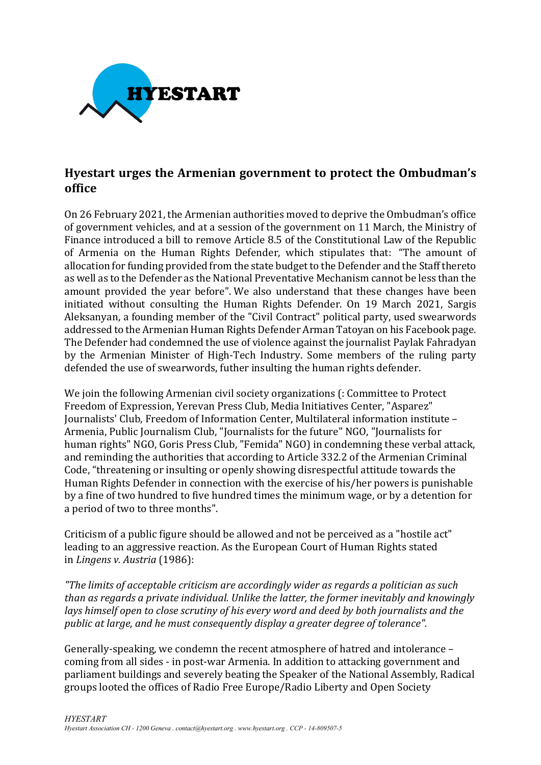

## **Hyestart urges the Armenian government to protect the Ombudman's office**

On 26 February 2021, the Armenian authorities moved to deprive the Ombudman's office of government vehicles, and at a session of the government on 11 March, the Ministry of Finance introduced a bill to remove Article 8.5 of the Constitutional Law of the Republic of Armenia on the Human Rights Defender, which stipulates that: "The amount of allocation for funding provided from the state budget to the Defender and the Staff thereto as well as to the Defender as the National Preventative Mechanism cannot be less than the amount provided the year before". We also understand that these changes have been initiated without consulting the Human Rights Defender. On 19 March 2021, Sargis Aleksanyan, a founding member of the "Civil Contract" political party, used swearwords addressed to the Armenian Human Rights Defender Arman Tatoyan on his Facebook page. The Defender had condemned the use of violence against the journalist Paylak Fahradyan by the Armenian Minister of High-Tech Industry. Some members of the ruling party defended the use of swearwords, futher insulting the human rights defender.

We join the following Armenian civil society organizations (: Committee to Protect Freedom of Expression, Yerevan Press Club, Media Initiatives Center, "Asparez" Journalists' Club, Freedom of Information Center, Multilateral information institute -Armenia, Public Journalism Club, "Journalists for the future" NGO, "Journalists for human rights" NGO, Goris Press Club, "Femida" NGO) in condemning these verbal attack, and reminding the authorities that according to Article 332.2 of the Armenian Criminal Code, "threatening or insulting or openly showing disrespectful attitude towards the Human Rights Defender in connection with the exercise of his/her powers is punishable by a fine of two hundred to five hundred times the minimum wage, or by a detention for a period of two to three months".

Criticism of a public figure should be allowed and not be perceived as a "hostile act" leading to an aggressive reaction. As the European Court of Human Rights stated in *Lingens v. Austria* (1986):

*"The limits of acceptable criticism are accordingly wider as regards a politician as such* than as regards a private individual. Unlike the latter, the former inevitably and knowingly *lays himself open to close scrutiny of his every word and deed by both journalists and the public* at large, and he must consequently display a greater degree of tolerance".

Generally-speaking, we condemn the recent atmosphere of hatred and intolerance – coming from all sides - in post-war Armenia. In addition to attacking government and parliament buildings and severely beating the Speaker of the National Assembly, Radical groups looted the offices of Radio Free Europe/Radio Liberty and Open Society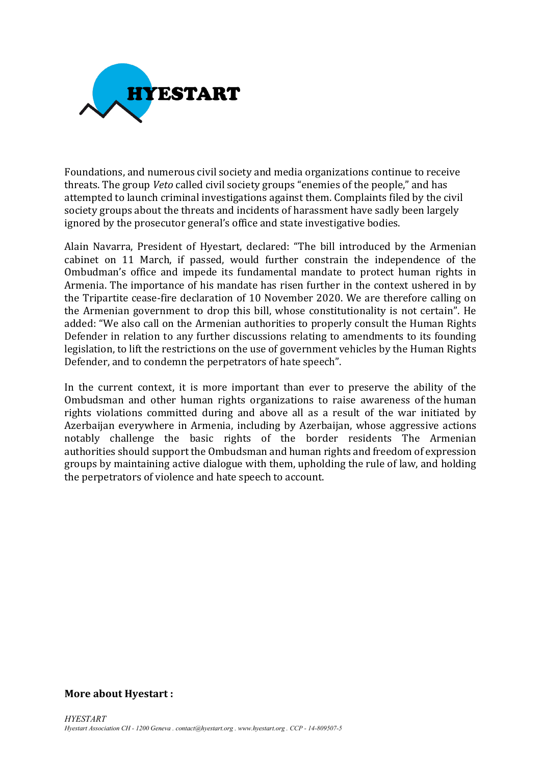

Foundations, and numerous civil society and media organizations continue to receive threats. The group *Veto* called civil society groups "enemies of the people," and has attempted to launch criminal investigations against them. Complaints filed by the civil society groups about the threats and incidents of harassment have sadly been largely ignored by the prosecutor general's office and state investigative bodies.

Alain Navarra, President of Hyestart, declared: "The bill introduced by the Armenian cabinet on 11 March, if passed, would further constrain the independence of the Ombudman's office and impede its fundamental mandate to protect human rights in Armenia. The importance of his mandate has risen further in the context ushered in by the Tripartite cease-fire declaration of 10 November 2020. We are therefore calling on the Armenian government to drop this bill, whose constitutionality is not certain". He added: "We also call on the Armenian authorities to properly consult the Human Rights Defender in relation to any further discussions relating to amendments to its founding legislation, to lift the restrictions on the use of government vehicles by the Human Rights Defender, and to condemn the perpetrators of hate speech".

In the current context, it is more important than ever to preserve the ability of the Ombudsman and other human rights organizations to raise awareness of the human rights violations committed during and above all as a result of the war initiated by Azerbaijan everywhere in Armenia, including by Azerbaijan, whose aggressive actions notably challenge the basic rights of the border residents The Armenian authorities should support the Ombudsman and human rights and freedom of expression groups by maintaining active dialogue with them, upholding the rule of law, and holding the perpetrators of violence and hate speech to account.

## **More about Hyestart:**